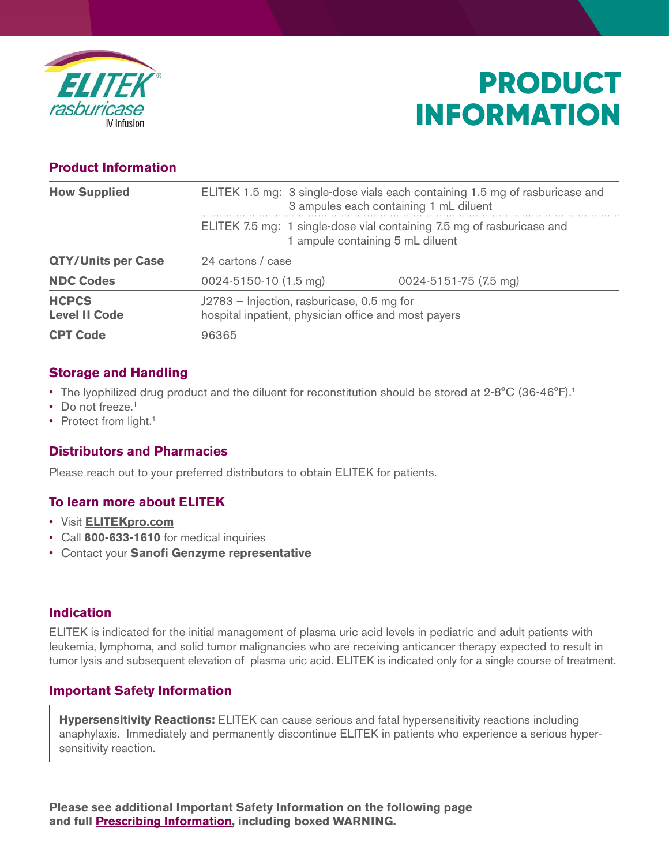

# PRODUCT INFORMATION

# **Product Information**

| <b>How Supplied</b>                  |                                                                                                            | ELITEK 1.5 mg: 3 single-dose vials each containing 1.5 mg of rasburicase and<br>3 ampules each containing 1 mL diluent |
|--------------------------------------|------------------------------------------------------------------------------------------------------------|------------------------------------------------------------------------------------------------------------------------|
|                                      | ELITEK 7.5 mg: 1 single-dose vial containing 7.5 mg of rasburicase and<br>1 ampule containing 5 mL diluent |                                                                                                                        |
| <b>QTY/Units per Case</b>            | 24 cartons / case                                                                                          |                                                                                                                        |
| <b>NDC Codes</b>                     | 0024-5150-10 (1.5 mg)                                                                                      | 0024-5151-75 (7.5 mg)                                                                                                  |
| <b>HCPCS</b><br><b>Level II Code</b> | J2783 - Injection, rasburicase, 0.5 mg for<br>hospital inpatient, physician office and most payers         |                                                                                                                        |
| <b>CPT Code</b>                      | 96365                                                                                                      |                                                                                                                        |

# **Storage and Handling**

- The lyophilized drug product and the diluent for reconstitution should be stored at 2-8°C (36-46°F).<sup>1</sup>
- Do not freeze. $1$
- Protect from light.<sup>1</sup>

### **Distributors and Pharmacies**

Please reach out to your preferred distributors to obtain ELITEK for patients.

### **To learn more about ELITEK**

- Visit **[ELITEKpro.com](https://www.elitekpro.com/)**
- Call **800-633-1610** for medical inquiries
- Contact your **Sanofi Genzyme representative**

### **Indication**

ELITEK is indicated for the initial management of plasma uric acid levels in pediatric and adult patients with leukemia, lymphoma, and solid tumor malignancies who are receiving anticancer therapy expected to result in tumor lysis and subsequent elevation of plasma uric acid. ELITEK is indicated only for a single course of treatment.

### **Important Safety Information**

**Hypersensitivity Reactions:** ELITEK can cause serious and fatal hypersensitivity reactions including anaphylaxis. Immediately and permanently discontinue ELITEK in patients who experience a serious hypersensitivity reaction.

**Please see additional Important Safety Information on the following page and ful[l Prescribing Information, i](http://products.sanofi.us/elitek/elitek.html)ncluding boxed WARNING.**